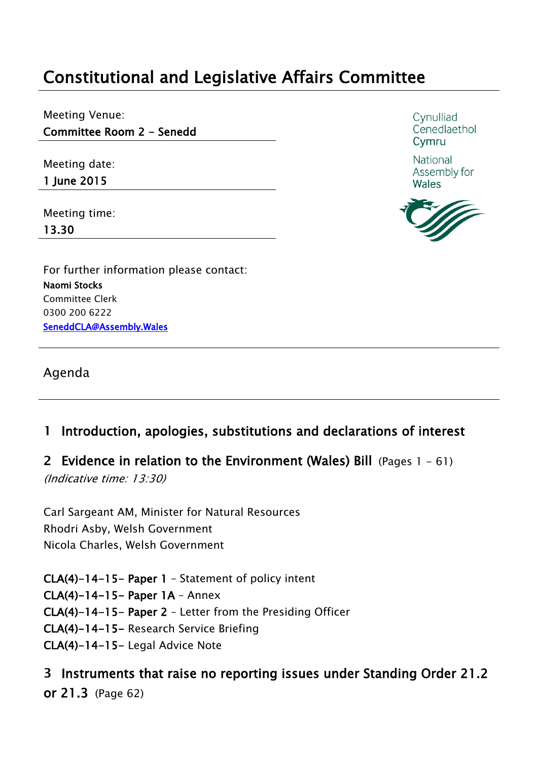# **Constitutional and Legislative Affairs Committee**

Meeting Venue: **Committee Room 2 - Senedd**

Meeting date:

**1 June 2015** 

Meeting time: **13.30**

For further information please contact: **Naomi Stocks** Committee Clerk 0300 200 6222 **SeneddCLA@Assembly.Wales** 

Agenda

## **1 Introduction, apologies, substitutions and declarations of interest**

**2 Evidence in relation to the Environment (Wales) Bill** (Pages 1 - 61)

*(Indicative time: 13:30)*

Carl Sargeant AM, Minister for Natural Resources Rhodri Asby, Welsh Government Nicola Charles, Welsh Government

**CLA(4)-14-15- Paper 1** – Statement of policy intent **CLA(4)-14-15- Paper 1A** – Annex **CLA(4)-14-15- Paper 2** – Letter from the Presiding Officer **CLA(4)-14-15-** Research Service Briefing **CLA(4)-14-15-** Legal Advice Note

**3 Instruments that raise no reporting issues under Standing Order 21.2 or 21.3** (Page 62)

Cvnulliad Cenedlaethol Cymru

National Assembly for **Wales** 

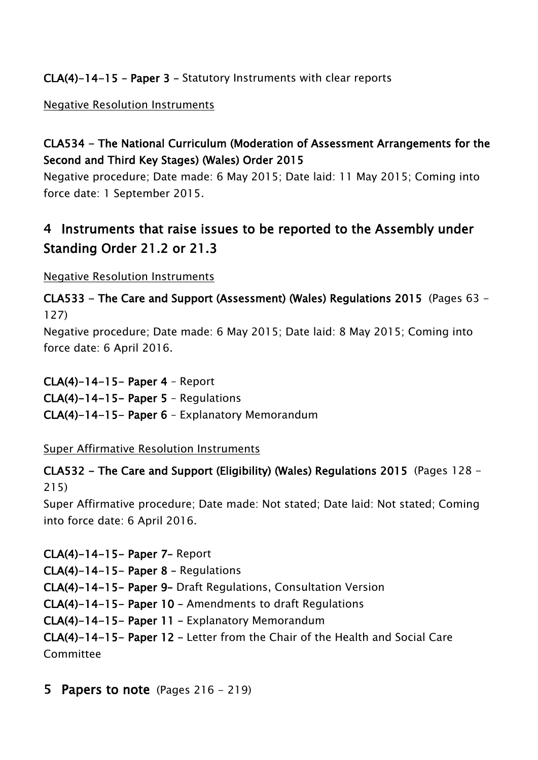## **CLA(4)-14-15 – Paper 3 –** Statutory Instruments with clear reports

#### Negative Resolution Instruments

## **CLA534 - The National Curriculum (Moderation of Assessment Arrangements for the Second and Third Key Stages) (Wales) Order 2015**

Negative procedure; Date made: 6 May 2015; Date laid: 11 May 2015; Coming into force date: 1 September 2015.

# **4 Instruments that raise issues to be reported to the Assembly under Standing Order 21.2 or 21.3**

Negative Resolution Instruments

**CLA533 - The Care and Support (Assessment) (Wales) Regulations 2015** (Pages 63 - 127)

Negative procedure; Date made: 6 May 2015; Date laid: 8 May 2015; Coming into force date: 6 April 2016.

**CLA(4)-14-15- Paper 4** – Report

**CLA(4)-14-15- Paper 5** – Regulations

**CLA(4)-14-15- Paper 6** – Explanatory Memorandum

Super Affirmative Resolution Instruments

**CLA532 - The Care and Support (Eligibility) (Wales) Regulations 2015** (Pages 128 - 215)

Super Affirmative procedure; Date made: Not stated; Date laid: Not stated; Coming into force date: 6 April 2016.

**CLA(4)-14-15- Paper 7–** Report **CLA(4)-14-15- Paper 8 –** Regulations **CLA(4)-14-15- Paper 9–** Draft Regulations, Consultation Version **CLA(4)-14-15- Paper 10 –** Amendments to draft Regulations **CLA(4)-14-15- Paper 11 –** Explanatory Memorandum **CLA(4)-14-15- Paper 12 –** Letter from the Chair of the Health and Social Care Committee

**5 Papers to note** (Pages 216 - 219)